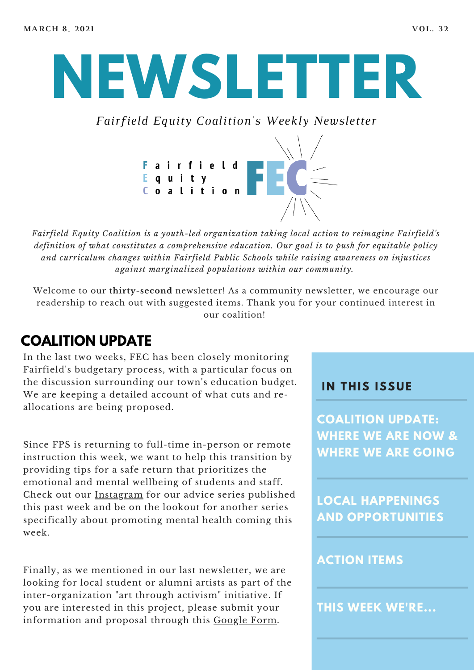# **NEWSLETTER**

*Fairfield Equity Coalition's Weekly Newsletter*



*Fairfield Equity Coalition is a youth-led organization taking local action to reimagine Fairfield's definition of what constitutes a comprehensive education. Our goal is to push for equitable policy and curriculum changes within Fairfield Public Schools while raising awareness on injustices against marginalized populations within our community.*

Welcome to our **thirty-second** newsletter! As a community newsletter, we encourage our readership to reach out with suggested items. Thank you for your continued interest in our coalition!

## **COALITION UPDATE**

In the last two weeks, FEC has been closely monitoring Fairfield's budgetary process, with a particular focus on the discussion surrounding our town's education budget. We are keeping a detailed account of what cuts and reallocations are being proposed.

Since FPS is returning to full-time in-person or remote instruction this week, we want to help this transition by providing tips for a safe return that prioritizes the emotional and mental wellbeing of students and staff. Check out our [Instagram](https://www.instagram.com/fairfieldequitycoalition/?hl=en) for our advice series published this past week and be on the lookout for another series specifically about promoting mental health coming this week.

Finally, as we mentioned in our last newsletter, we are looking for local student or alumni artists as part of the inter-organization "art through activism" initiative. If you are interested in this project, please submit your information and proposal through this [Google](https://docs.google.com/forms/d/e/1FAIpQLSc9JyVvT6YyA-gXJVvQw_yp_4JtO5Pt32pLA7FCZxXsIbDX-w/viewform) Form.

#### **I N THIS ISSUE**

**COALITION UPDATE: WHERE WE ARE NOW & WHERE WE ARE GOING**

**LOCAL HAPPENINGS AND OPPORTUNITIES**

#### **ACTION ITEMS**

**THIS WEEK WE'RE...**